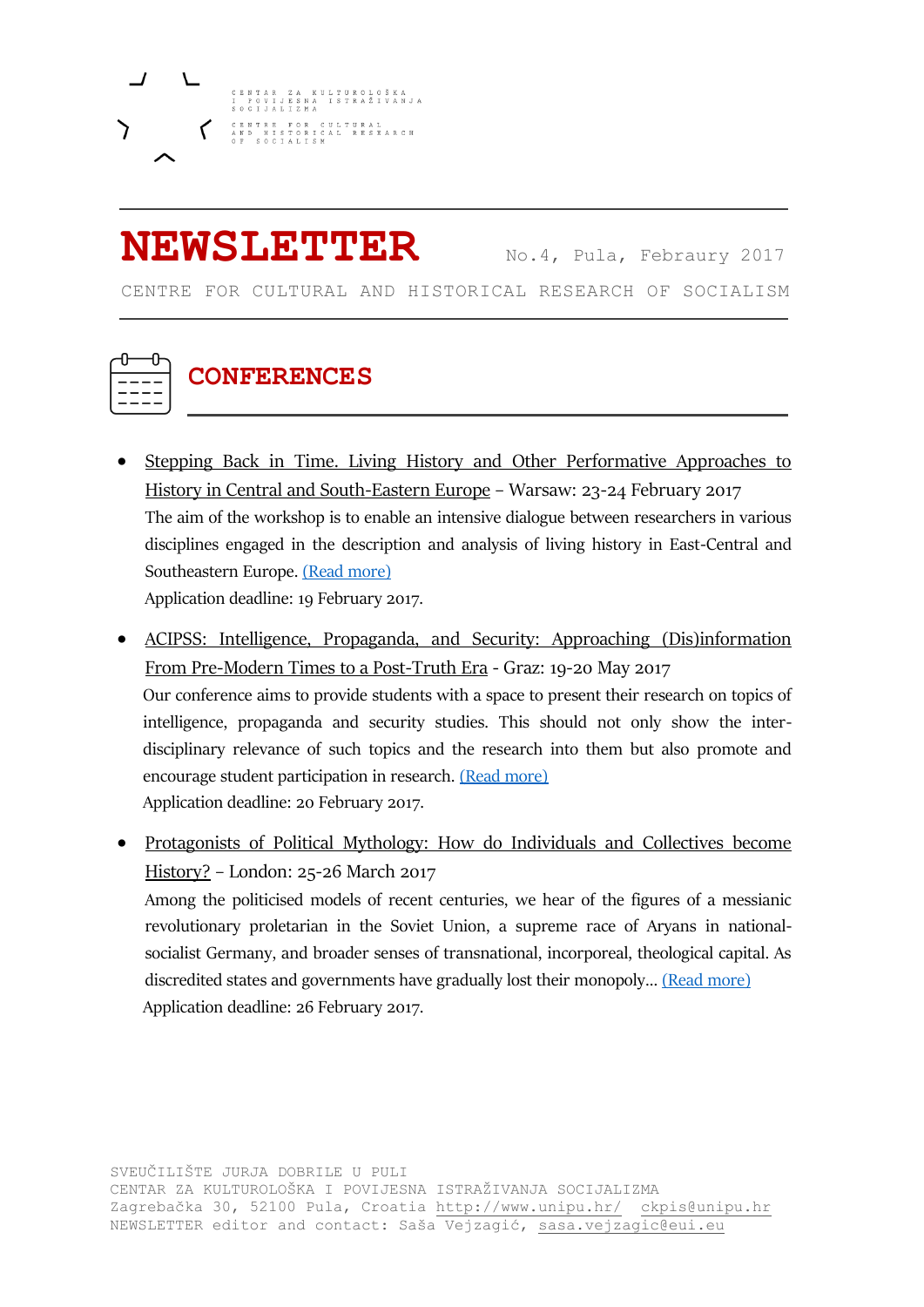

### **NEWSLETTER** No.4, Pula, Febraury <sup>2017</sup>

CENTRE FOR CULTURAL AND HISTORICAL RESEARCH OF SOCIALISM



### **CONFERENCES**

- Stepping Back in Time. Living History and Other Performative Approaches to History in Central and South-Eastern Europe – Warsaw: 23-24 February 2017 The aim of the workshop is to enable an intensive dialogue between researchers in various disciplines engaged in the description and analysis of living history in East-Central and Southeastern Europe. [\(Read more\)](http://www.dhi.waw.pl/fileadmin/benutzerdaten/dhi-waw-pl/pdf/Veranstaltungen/Tagungen/2017_02_01_STEPPING_ULOT_EN_END.pdf) Application deadline: 19 February 2017.
- ACIPSS: Intelligence, Propaganda, and Security: Approaching (Dis)information From Pre-Modern Times to a Post-Truth Era - Graz: 19-20 May 2017 Our conference aims to provide students with a space to present their research on topics of intelligence, propaganda and security studies. This should not only show the interdisciplinary relevance of such topics and the research into them but also promote and encourage student participation in research. [\(Read more\)](http://www.acipss.org/wp-content/uploads/ACIPSS-CfP-Approaching-Disinformation-2017.pdf) Application deadline: 20 February 2017.
- Protagonists of Political Mythology: How do Individuals and Collectives become History? – London: 25-26 March 2017 Among the politicised models of recent centuries, we hear of the figures of a messianic revolutionary proletarian in the Soviet Union, a supreme race of Aryans in nationalsocialist Germany, and broader senses of transnational, incorporeal, theological capital. As discredited states and governments have gradually lost their monopoly... [\(Read more\)](http://www.hsozkult.de/event/id/termine-33103)

Application deadline: 26 February 2017.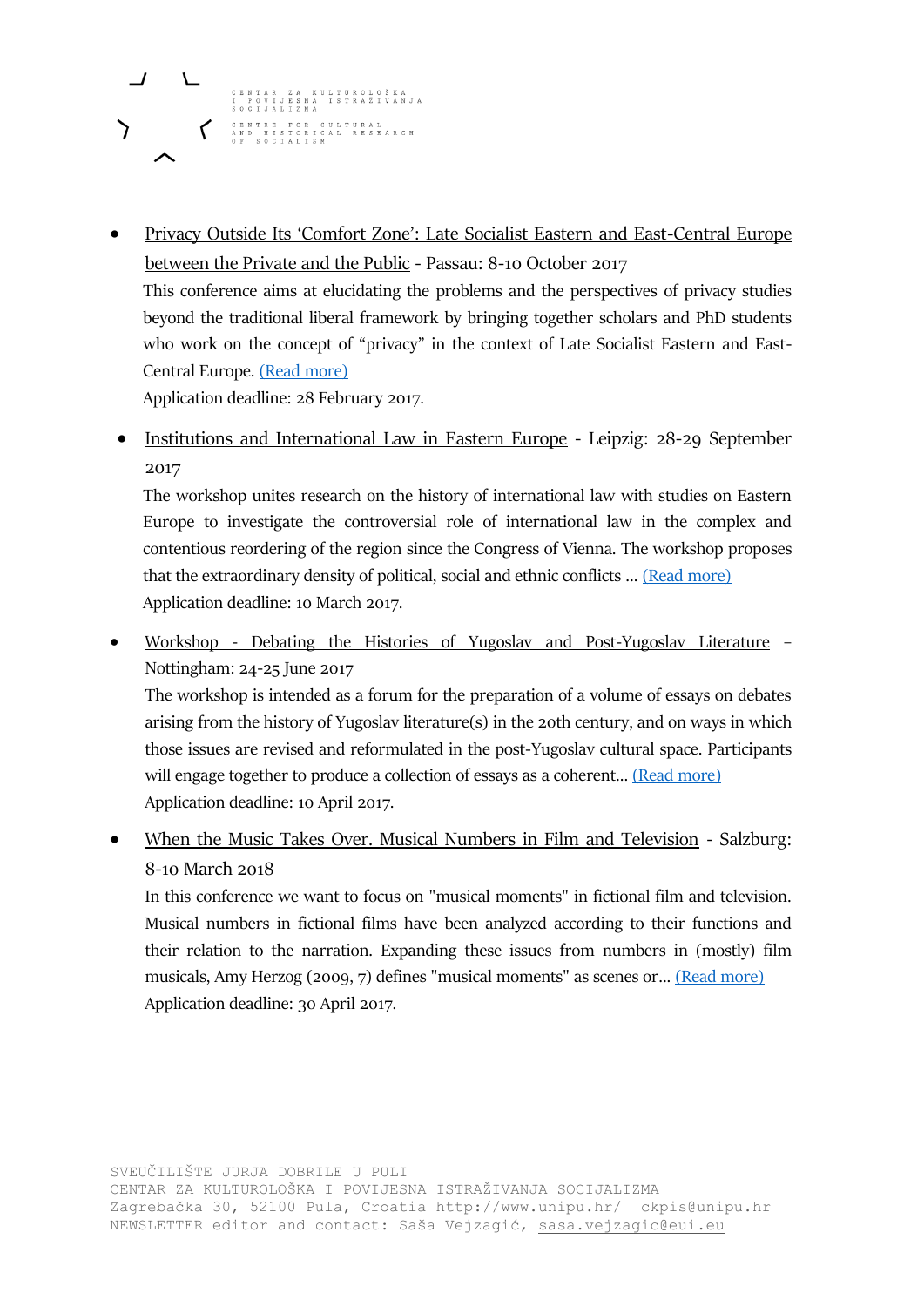# CENTAR ZA KULTUROLOŠKA<br>I POVIJESNA ISTRAŽIVANJA CENTRE FOR CULTURAL<br>AND HISTORICAL RESEARCH<br>OF SOCIALISM

 Privacy Outside Its 'Comfort Zone': Late Socialist Eastern and East-Central Europe between the Private and the Public - Passau: 8-10 October 2017 This conference aims at elucidating the problems and the perspectives of privacy studies beyond the traditional liberal framework by bringing together scholars and PhD students who work on the concept of "privacy" in the context of Late Socialist Eastern and East-Central Europe. [\(Read more\)](https://networks.h-net.org/node/10000/discussions/163547/cfp-conference-%E2%80%9Cprivacy-outside-its-%E2%80%98comfort-zone%E2%80%99-late-socialist) Application deadline: 28 February 2017.

• Institutions and International Law in Eastern Europe - Leipzig: 28-29 September

2017

The workshop unites research on the history of international law with studies on Eastern Europe to investigate the controversial role of international law in the complex and contentious reordering of the region since the Congress of Vienna. The workshop proposes that the extraordinary density of political, social and ethnic conflicts ..[. \(Read more\)](http://www.hsozkult.de/event/id/termine-33131?utm_source=hskhtml&utm_medium=email&utm_term=2017-1&utm_campaign=htmldigest) Application deadline: 10 March 2017.

 Workshop - Debating the Histories of Yugoslav and Post-Yugoslav Literature – Nottingham: 24-25 June 2017 The workshop is intended as a forum for the preparation of a volume of essays on debates arising from the history of Yugoslav literature(s) in the 20th century, and on ways in which those issues are revised and reformulated in the post-Yugoslav cultural space. Participants

will engage together to produce a collection of essays as a coherent... [\(Read more\)](https://armacad.info/workshop-debating-the-histories-of-yugoslav-and-post-yugoslav-literature-24-25-june-2017-university-of-nottingham-uk) Application deadline: 10 April 2017.

• When the Music Takes Over. Musical Numbers in Film and Television - Salzburg: 8-10 March 2018

In this conference we want to focus on "musical moments" in fictional film and television. Musical numbers in fictional films have been analyzed according to their functions and their relation to the narration. Expanding these issues from numbers in (mostly) film musicals, Amy Herzog (2009, 7) defines "musical moments" as scenes or... [\(Read more\)](https://musicalmomentssite.wordpress.com/about/) Application deadline: 30 April 2017.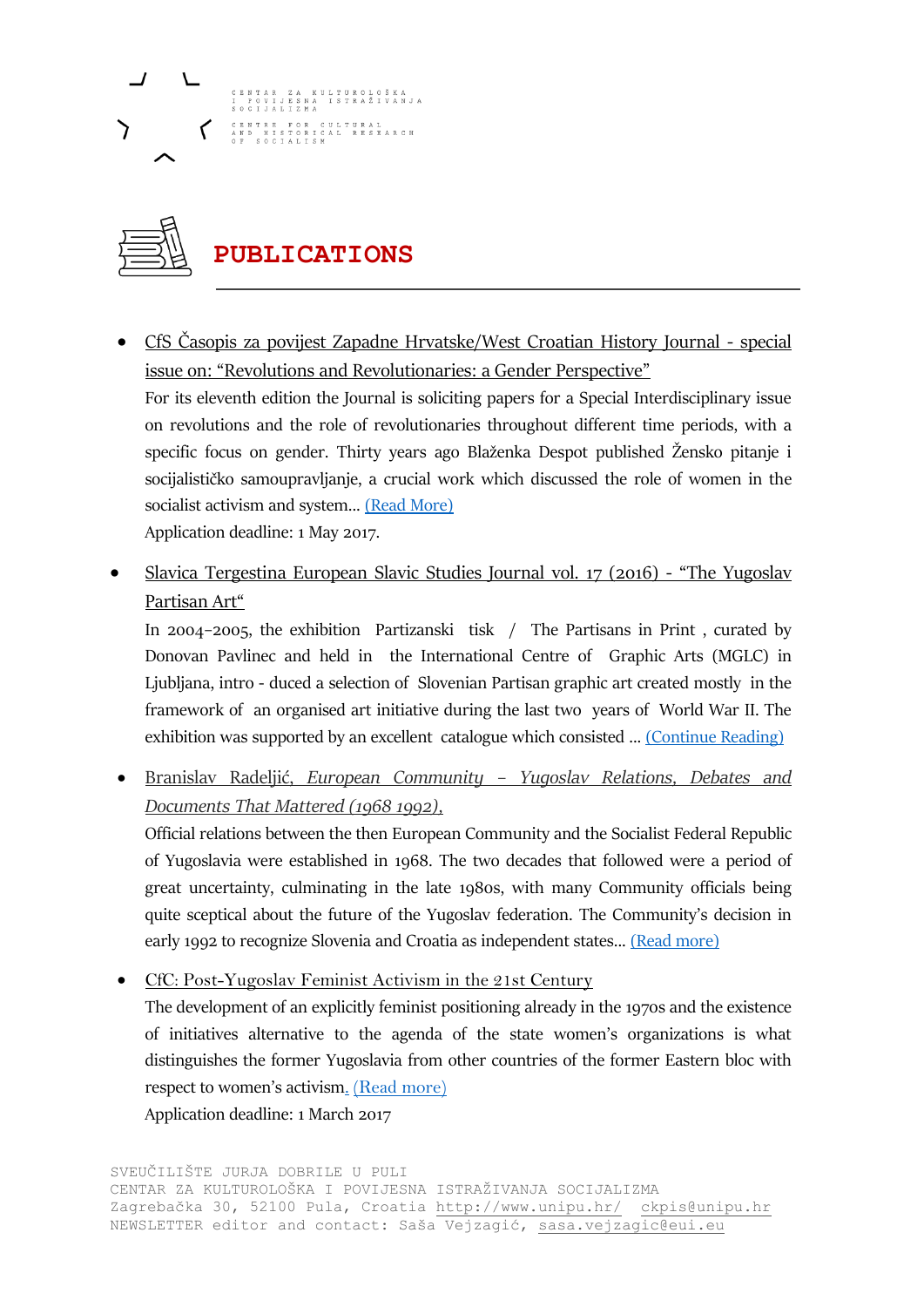### NTAR ZA KULTUROLOŠKA<br>POVIJESNA ISTRAŽIVANJ. CENTRE FOR CULTURAL<br>AND HISTORICAL RESEARCH



### **PUBLICATIONS**

- CfS Časopis za povijest Zapadne Hrvatske/West Croatian History Journal special issue on: "Revolutions and Revolutionaries: a Gender Perspective" For its eleventh edition the Journal is soliciting papers for a Special Interdisciplinary issue on revolutions and the role of revolutionaries throughout different time periods, with a specific focus on gender. Thirty years ago Blaženka Despot published Žensko pitanje i socijalističko samoupravljanje, a crucial work which discussed the role of women in the socialist activism and system... [\(Read More\)](https://lookaside.fbsbx.com/file/WCHJ%202016%20Call%20for%20papers%20%281%29.pdf?token=AWyj5svtIxERpWnUMzqjygAYC2ZKapwiobgxy7LPX7Hf660A8pI8koMGB0M_Wpe3UUMBa01NEpcwYSrsHRqL2iN8KL7qVNYq_GWS2JnX0-ltfuCkC8BlyZQlNLo6Y1PfggLcxKuPJ3qs2TO1H2N4N0Fm2MJBvxxv1_ImEtZxQRUJxA) Application deadline: 1 May 2017.
- Slavica Tergestina European Slavic Studies Journal vol. 17 (2016) "The Yugoslav Partisan Art"

In 2004–2005, the exhibition Partizanski tisk / The Partisans in Print , curated by Donovan Pavlinec and held in the International Centre of Graphic Arts (MGLC) in Ljubljana, intro - duced a selection of Slovenian Partisan graphic art created mostly in the framework of an organised art initiative during the last two years of World War II. The exhibition was supported by an excellent catalogue which consisted ... [\(Continue Reading\)](http://slavica-ter.org/data/uploads/slavicater_17-2016_web_pc.pdf)

 Branislav Radeljić, *European Community – Yugoslav Relations, Debates and Documents That Mattered (1968 1992),*

Official relations between the then European Community and the Socialist Federal Republic of Yugoslavia were established in 1968. The two decades that followed were a period of great uncertainty, culminating in the late 1980s, with many Community officials being quite sceptical about the future of the Yugoslav federation. The Community's decision in early 1992 to recognize Slovenia and Croatia as independent states... [\(Read more\)](https://www.peterlang.com/view/product/47012)

• CfC: Post-Yugoslav Feminist Activism in the 21st Century

The development of an explicitly feminist positioning already in the 1970s and the existence of initiatives alternative to the agenda of the state women's organizations is what distinguishes the former Yugoslavia from other countries of the former Eastern bloc with respect to women's activism[.](https://stefanbosomitu.wordpress.com/2016/12/28/cfp-history-of-communism-in-europe-no-8-2017-the-other-half-of-communism-womens-outlook/) [\(Read more\)](http://www.suedosteuropa.uni-graz.at/en/balkan-academic-news-17-january-2017)

Application deadline: 1 March 2017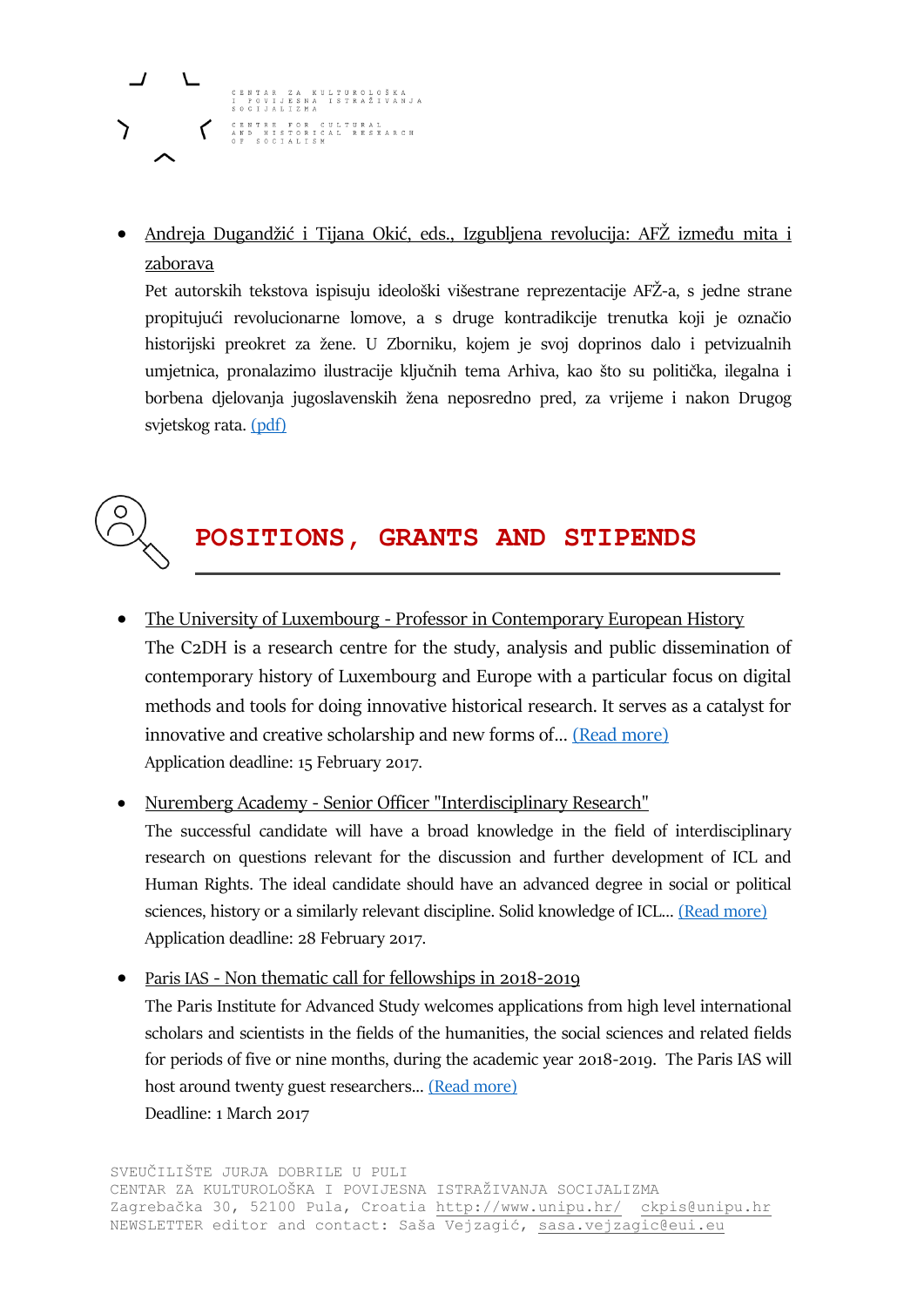# CENTAR ZA KULTUROLOŠKA<br>I POVIJESNA ISTRAŽIVANJA CENTRE FOR CULTURAL<br>AND HISTORICAL RESEARCH

 Andreja Dugandžić i Tijana Okić, eds., Izgubljena revolucija: AFŽ između mita i zaborava

Pet autorskih tekstova ispisuju ideološki višestrane reprezentacije AFŽ-a, s jedne strane propitujući revolucionarne lomove, a s druge kontradikcije trenutka koji je označio historijski preokret za žene. U Zborniku, kojem je svoj doprinos dalo i petvizualnih umjetnica, pronalazimo ilustracije ključnih tema Arhiva, kao što su politička, ilegalna i borbena djelovanja jugoslavenskih žena neposredno pred, za vrijeme i nakon Drugog svjetskog rata. [\(pdf\)](http://afzarhiv.org/files/original/6ddd554425a4e713c4adb37d4d8b78dc.pdf)



#### **POSITIONS, GRANTS AND STIPENDS**

• The University of Luxembourg - Professor in Contemporary European History The C2DH is a research centre for the study, analysis and public dissemination of contemporary history of Luxembourg and Europe with a particular focus on digital methods and tools for doing innovative historical research. It serves as a catalyst for innovative and creative scholarship and new forms of... [\(Read more\)](http://recruitment.uni.lu/en/details.html?nPostingId=7093&nPostingTargetId=9470&id=QMUFK026203F3VBQB7V7VV4S8&LG=UK&mask=karriereseiten&sType=SR) Application deadline: 15 February 2017.

• Nuremberg Academy - Senior Officer "Interdisciplinary Research" The successful candidate will have a broad knowledge in the field of interdisciplinary research on questions relevant for the discussion and further development of ICL and Human Rights. The ideal candidate should have an advanced degree in social or political sciences, history or a similarly relevant discipline. Solid knowledge of ICL... [\(Read more\)](http://www.nurembergacademy.org/about-us/job-offers/detail/senior-officer-interdisciplinary-research-21/) Application deadline: 28 February 2017.

 Paris IAS - Non thematic call for fellowships in 2018-2019 The Paris Institute for Advanced Study welcomes applications from high level international scholars and scientists in the fields of the humanities, the social sciences and related fields for periods of five or nine months, during the academic year 2018-2019. The Paris IAS will host around twenty guest researchers... [\(Read more\)](http://www.paris-iea.fr/en/apply/calls-for-applications/appel-blanc-2018-2019) Deadline: 1 March 2017